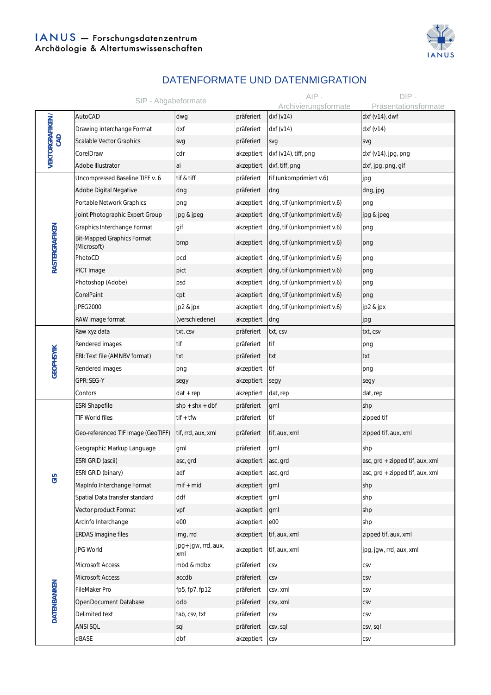

## DATENFORMATE UND DATENMIGRATION

|                        | SIP - Abgabeformate                              |                            |            | $AIP -$                      | $DIP -$                         |
|------------------------|--------------------------------------------------|----------------------------|------------|------------------------------|---------------------------------|
|                        |                                                  |                            |            | Archivierungsformate         | Präsentationsformate            |
| VEKTORGRAFIKEN/<br>GAD | AutoCAD                                          | dwg                        | präferiert | dxf(v14)                     | dxf (v14), dwf                  |
|                        | Drawing interchange Format                       | dxf                        | präferiert | dx f(v14)                    | dx f(v14)                       |
|                        | Scalable Vector Graphics                         | svg                        | präferiert | svg                          | svg                             |
|                        | CorelDraw                                        | cdr                        | akzeptiert | dxf (v14), tiff, png         | dxf (v14), jpg, png             |
|                        | Adobe Illustrator                                | ai                         | akzeptiert | dxf, tiff, png               | dxf, jpg, png, gif              |
| RASTERGRAFIKEN         | Uncompressed Baseline TIFF v. 6                  | tif & tiff                 | präferiert | tif (unkomprimiert v.6)      | jpg                             |
|                        | Adobe Digital Negative                           | dng                        | präferiert | dng                          | dng, jpg                        |
|                        | Portable Network Graphics                        | png                        | akzeptiert | dng, tif (unkomprimiert v.6) | png                             |
|                        | Joint Photographic Expert Group                  | jpg & jpeg                 | akzeptiert | dng, tif (unkomprimiert v.6) | jpg & jpeg                      |
|                        | Graphics Interchange Format                      | gif                        | akzeptiert | dng, tif (unkomprimiert v.6) | png                             |
|                        | <b>Bit-Mapped Graphics Format</b><br>(Microsoft) | bmp                        | akzeptiert | dng, tif (unkomprimiert v.6) | png                             |
|                        | PhotoCD                                          | pcd                        | akzeptiert | dng, tif (unkomprimiert v.6) | png                             |
|                        | PICT Image                                       | pict                       | akzeptiert | dng, tif (unkomprimiert v.6) | png                             |
|                        | Photoshop (Adobe)                                | psd                        | akzeptiert | dng, tif (unkomprimiert v.6) | png                             |
|                        | CorelPaint                                       | cpt                        | akzeptiert | dng, tif (unkomprimiert v.6) | png                             |
|                        | <b>JPEG2000</b>                                  | jp2 & jpx                  | akzeptiert | dng, tif (unkomprimiert v.6) | jp2 & jpx                       |
|                        | RAW image format                                 | (verschiedene)             | akzeptiert | dng                          | jpg                             |
|                        | Raw xyz data                                     | txt, csv                   | präferiert | txt, csv                     | txt, csv                        |
|                        | Rendered images                                  | tif                        | präferiert | tif                          | png                             |
| <b>GEOPHSYIK</b>       | ERI: Text file (AMNBV format)                    | txt                        | präferiert | txt                          | txt                             |
|                        | Rendered images                                  | png                        | akzeptiert | tif                          | png                             |
|                        | GPR: SEG-Y                                       | segy                       | akzeptiert | segy                         | segy                            |
|                        | Contors                                          | $dat + rep$                | akzeptiert | dat, rep                     | dat, rep                        |
|                        | <b>ESRI Shapefile</b>                            | $shp + shx + dbf$          | präferiert | gml                          | shp                             |
|                        | TIF World files                                  | $t$ if + $t$ fw            | präferiert | tif                          | zipped tif                      |
|                        | Geo-referenced TIF Image (GeoTIFF)               | tif, rrd, aux, xml         | präferiert | tif, aux, xml                | zipped tif, aux, xml            |
|                        | Geographic Markup Language                       | gml                        | präferiert | gml                          | shp                             |
|                        | ESRI GRID (ascii)                                | asc, grd                   | akzeptiert | asc, grd                     | asc, grd + zipped tif, aux, xml |
| GIS                    | ESRI GRID (binary)                               | adf                        | akzeptiert | asc, grd                     | asc, grd + zipped tif, aux, xml |
|                        | MapInfo Interchange Format                       | $mif + mid$                | akzeptiert | gml                          | shp                             |
|                        | Spatial Data transfer standard                   | ddf                        | akzeptiert | gml                          | shp                             |
|                        | Vector product Format                            | vpf                        | akzeptiert | gml                          | shp                             |
|                        | ArcInfo Interchange                              | e00                        | akzeptiert | e00                          | shp                             |
|                        | ERDAS Imagine files                              | img, rrd                   | akzeptiert | tif, aux, xml                | zipped tif, aux, xml            |
|                        | <b>JPG World</b>                                 | jpg+ jgw, rrd, aux,<br>xml | akzeptiert | tif, aux, xml                | jpg, jgw, rrd, aux, xml         |
| <b>DATENBANKEN</b>     | Microsoft Access                                 | mbd & mdbx                 | präferiert | CSV                          | CSV                             |
|                        | Microsoft Access                                 | accdb                      | präferiert | CSV                          | CSV                             |
|                        | FileMaker Pro                                    | fp5, fp7, fp12             | präferiert | csv, xml                     | CSV                             |
|                        | OpenDocument Database                            | odb                        | präferiert | csv, xml                     | CSV                             |
|                        | Delimited text                                   | tab, csv, txt              | präferiert | CSV                          | CSV                             |
|                        | ANSI SQL                                         | sql                        | präferiert | csv, sql                     | csv, sql                        |
|                        | dBASE                                            | dbf                        | akzeptiert | CSV                          | CSV                             |